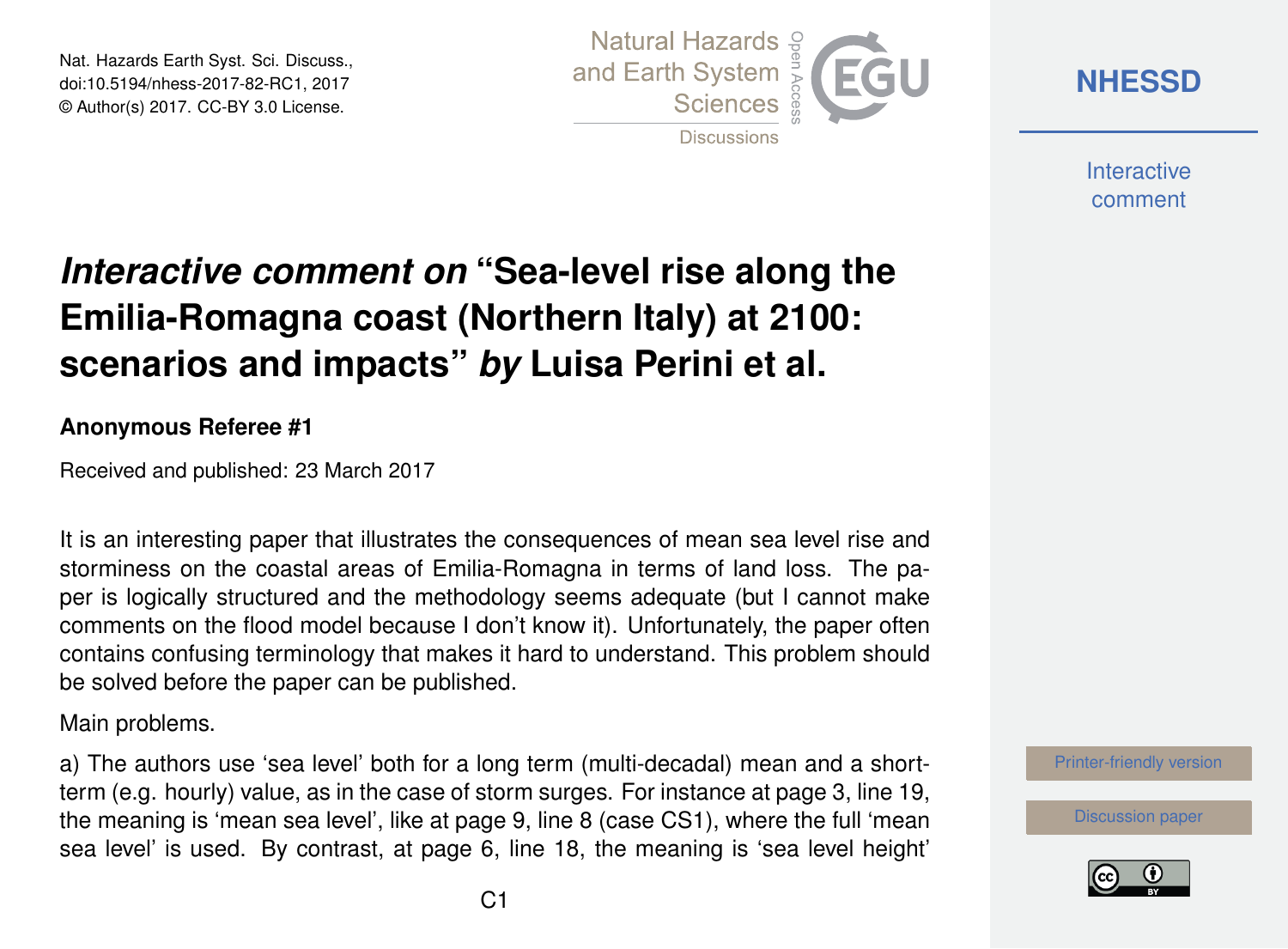Nat. Hazards Earth Syst. Sci. Discuss., doi:10.5194/nhess-2017-82-RC1, 2017 © Author(s) 2017. CC-BY 3.0 License.



**[NHESSD](http://www.nat-hazards-earth-syst-sci-discuss.net/)**

**Interactive** comment

## *Interactive comment on* **"Sea-level rise along the Emilia-Romagna coast (Northern Italy) at 2100: scenarios and impacts"** *by* **Luisa Perini et al.**

## **Anonymous Referee #1**

Received and published: 23 March 2017

It is an interesting paper that illustrates the consequences of mean sea level rise and storminess on the coastal areas of Emilia-Romagna in terms of land loss. The paper is logically structured and the methodology seems adequate (but I cannot make comments on the flood model because I don't know it). Unfortunately, the paper often contains confusing terminology that makes it hard to understand. This problem should be solved before the paper can be published.

Main problems.

a) The authors use 'sea level' both for a long term (multi-decadal) mean and a shortterm (e.g. hourly) value, as in the case of storm surges. For instance at page 3, line 19, the meaning is 'mean sea level', like at page 9, line 8 (case CS1), where the full 'mean sea level' is used. By contrast, at page 6, line 18, the meaning is 'sea level height'



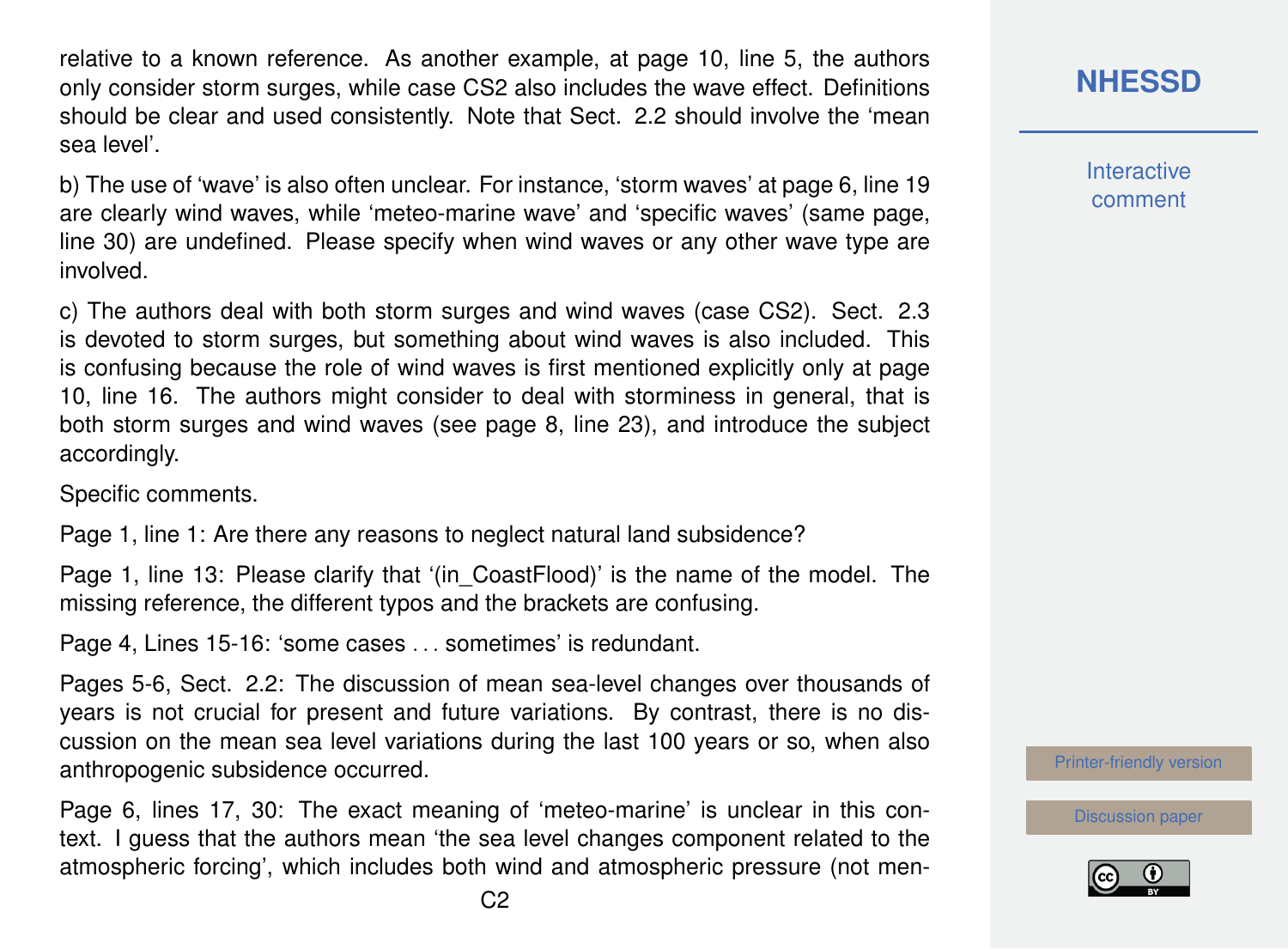relative to a known reference. As another example, at page 10, line 5, the authors only consider storm surges, while case CS2 also includes the wave effect. Definitions should be clear and used consistently. Note that Sect. 2.2 should involve the 'mean sea level'.

b) The use of 'wave' is also often unclear. For instance, 'storm waves' at page 6, line 19 are clearly wind waves, while 'meteo-marine wave' and 'specific waves' (same page, line 30) are undefined. Please specify when wind waves or any other wave type are involved.

c) The authors deal with both storm surges and wind waves (case CS2). Sect. 2.3 is devoted to storm surges, but something about wind waves is also included. This is confusing because the role of wind waves is first mentioned explicitly only at page 10, line 16. The authors might consider to deal with storminess in general, that is both storm surges and wind waves (see page 8, line 23), and introduce the subject accordingly.

Specific comments.

Page 1, line 1: Are there any reasons to neglect natural land subsidence?

Page 1, line 13: Please clarify that '(in\_CoastFlood)' is the name of the model. The missing reference, the different typos and the brackets are confusing.

Page 4, Lines 15-16: 'some cases . . . sometimes' is redundant.

Pages 5-6, Sect. 2.2: The discussion of mean sea-level changes over thousands of years is not crucial for present and future variations. By contrast, there is no discussion on the mean sea level variations during the last 100 years or so, when also anthropogenic subsidence occurred.

Page 6, lines 17, 30: The exact meaning of 'meteo-marine' is unclear in this context. I guess that the authors mean 'the sea level changes component related to the atmospheric forcing', which includes both wind and atmospheric pressure (not men**[NHESSD](http://www.nat-hazards-earth-syst-sci-discuss.net/)**

**Interactive** comment

[Printer-friendly version](http://www.nat-hazards-earth-syst-sci-discuss.net/nhess-2017-82/nhess-2017-82-RC1-print.pdf)

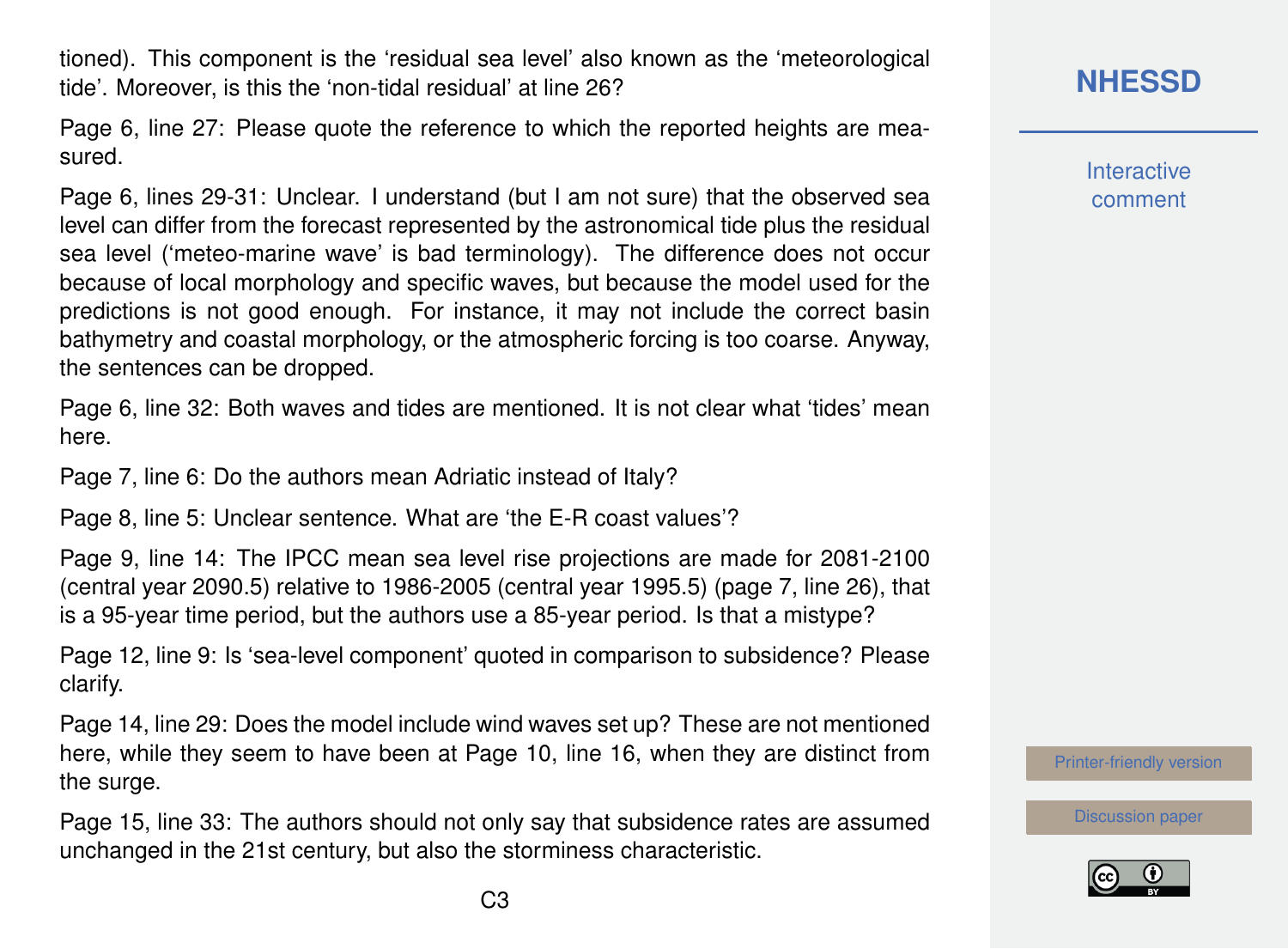tioned). This component is the 'residual sea level' also known as the 'meteorological tide'. Moreover, is this the 'non-tidal residual' at line 26?

Page 6, line 27: Please quote the reference to which the reported heights are measured.

Page 6, lines 29-31: Unclear. I understand (but I am not sure) that the observed sea level can differ from the forecast represented by the astronomical tide plus the residual sea level ('meteo-marine wave' is bad terminology). The difference does not occur because of local morphology and specific waves, but because the model used for the predictions is not good enough. For instance, it may not include the correct basin bathymetry and coastal morphology, or the atmospheric forcing is too coarse. Anyway, the sentences can be dropped.

Page 6, line 32: Both waves and tides are mentioned. It is not clear what 'tides' mean here.

Page 7, line 6: Do the authors mean Adriatic instead of Italy?

Page 8, line 5: Unclear sentence. What are 'the E-R coast values'?

Page 9, line 14: The IPCC mean sea level rise projections are made for 2081-2100 (central year 2090.5) relative to 1986-2005 (central year 1995.5) (page 7, line 26), that is a 95-year time period, but the authors use a 85-year period. Is that a mistype?

Page 12, line 9: Is 'sea-level component' quoted in comparison to subsidence? Please clarify.

Page 14, line 29: Does the model include wind waves set up? These are not mentioned here, while they seem to have been at Page 10, line 16, when they are distinct from the surge.

Page 15, line 33: The authors should not only say that subsidence rates are assumed unchanged in the 21st century, but also the storminess characteristic.

## **[NHESSD](http://www.nat-hazards-earth-syst-sci-discuss.net/)**

**Interactive** comment

[Printer-friendly version](http://www.nat-hazards-earth-syst-sci-discuss.net/nhess-2017-82/nhess-2017-82-RC1-print.pdf)